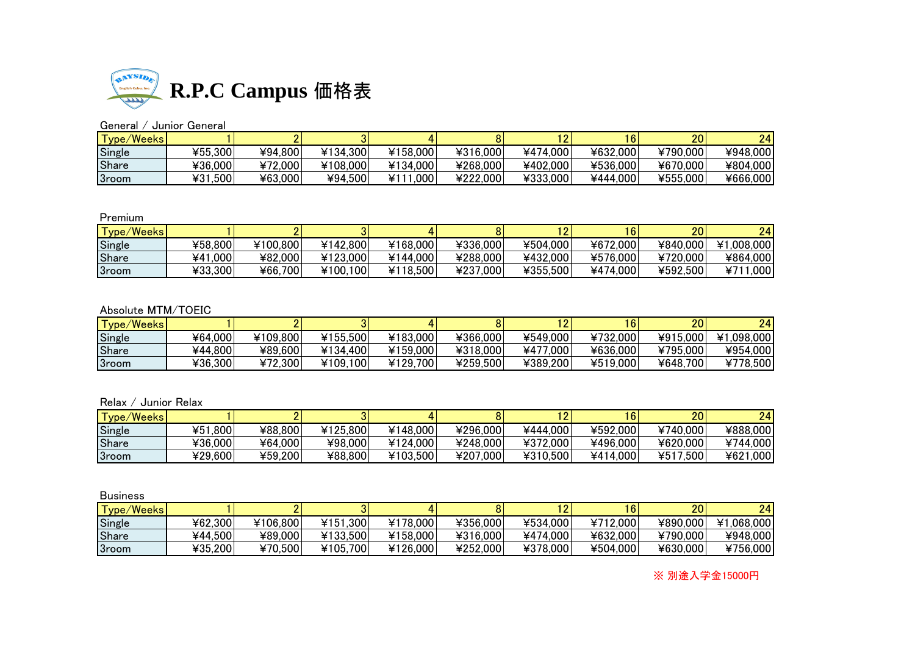

# General / Junior General

| <b>Type/Weeks</b> |         |         |          |            |          |          | 6        | 20       | 24       |
|-------------------|---------|---------|----------|------------|----------|----------|----------|----------|----------|
| Single            | ¥55,300 | ¥94.800 | ¥134,300 | ¥158.000   | ¥316,000 | ¥474.000 | ¥632,000 | ¥790,000 | ¥948,000 |
| <b>Share</b>      | ¥36,000 | ¥72,000 | ¥108,000 | ¥134,000   | ¥268,000 | ¥402,000 | ¥536,000 | ¥670,000 | ¥804,000 |
| 3room             | ¥31,500 | ¥63,000 | ¥94.500  | .000<br>¥1 | ¥222,000 | ¥333,000 | ¥444.000 | ¥555,000 | ¥666,000 |

### Premium

| Type/Weeks |             |          |          |          |          |          | 6        | 20       | 24                 |
|------------|-------------|----------|----------|----------|----------|----------|----------|----------|--------------------|
| Single     | ¥58.800     | ¥100.800 | ¥142,800 | ¥168,000 | ¥336,000 | ¥504,000 | ¥672,000 | ¥840,000 | ¥1,008,000         |
| Share      | .000<br>¥41 | ¥82,000  | ¥123,000 | ¥144,000 | ¥288,000 | ¥432,000 | ¥576,000 | ¥720,000 | ¥864,000           |
| 3room      | ¥33,300     | ¥66,700  | ¥100.100 | ¥118,500 | ¥237,000 | ¥355,500 | ¥474,000 | ¥592,500 | .000<br>$47^\circ$ |

## Absolute MTM/TOEIC

| Type/Weeks |         |          |          |          |          |          | 6        | 20       | 24         |
|------------|---------|----------|----------|----------|----------|----------|----------|----------|------------|
| Single     | 464,000 | ¥109.800 | ¥155.500 | ¥183,000 | ¥366,000 | ¥549,000 | ¥732.000 | ¥915,000 | ¥1.098.000 |
| Share      | ¥44.800 | ¥89,600  | ¥134.400 | ¥159,000 | ¥318,000 | ¥477,000 | ¥636,000 | ¥795,000 | ¥954,000   |
| 3room      | ¥36,300 | ¥72,300  | ¥109,100 | ¥129.700 | ¥259,500 | ¥389.200 | ¥519,000 | ¥648.700 | ¥778,500   |

# Relax / Junior Relax

| Type/Weeks   |             |         |          |          |          |          |          | 20           | 24       |
|--------------|-------------|---------|----------|----------|----------|----------|----------|--------------|----------|
| Single       | .800<br>¥51 | ¥88,800 | ¥125,800 | ¥148,000 | ¥296,000 | ¥444.000 | ¥592,000 | ¥740,000     | ¥888,000 |
| <b>Share</b> | ¥36.000     | ¥64.000 | ¥98,000  | ¥124,000 | ¥248,000 | ¥372,000 | ¥496,000 | ¥620,000     | ¥744.000 |
| 3room        | ¥29,600     | ¥59,200 | ¥88,800  | ¥103,500 | ¥207,000 | ¥310,500 | ¥414,000 | .500<br>¥517 | ¥621,000 |

| <b>Business</b> |         |          |          |          |          |          |          |          |            |
|-----------------|---------|----------|----------|----------|----------|----------|----------|----------|------------|
| Type/Weeks      |         |          |          |          |          |          | 6        | 20       | 24         |
| Single          | 462,300 | ¥106,800 | ¥151,300 | ¥178,000 | ¥356,000 | ¥534,000 | ¥712,000 | ¥890,000 | ¥1,068,000 |
| Share           | ¥44.500 | ¥89,000  | ¥133,500 | ¥158,000 | ¥316,000 | ¥474,000 | ¥632,000 | ¥790,000 | ¥948,000   |
| 3room           | ¥35,200 | ¥70,500  | ¥105,700 | ¥126,000 | ¥252,000 | ¥378,000 | ¥504,000 | ¥630,000 | ¥756,000   |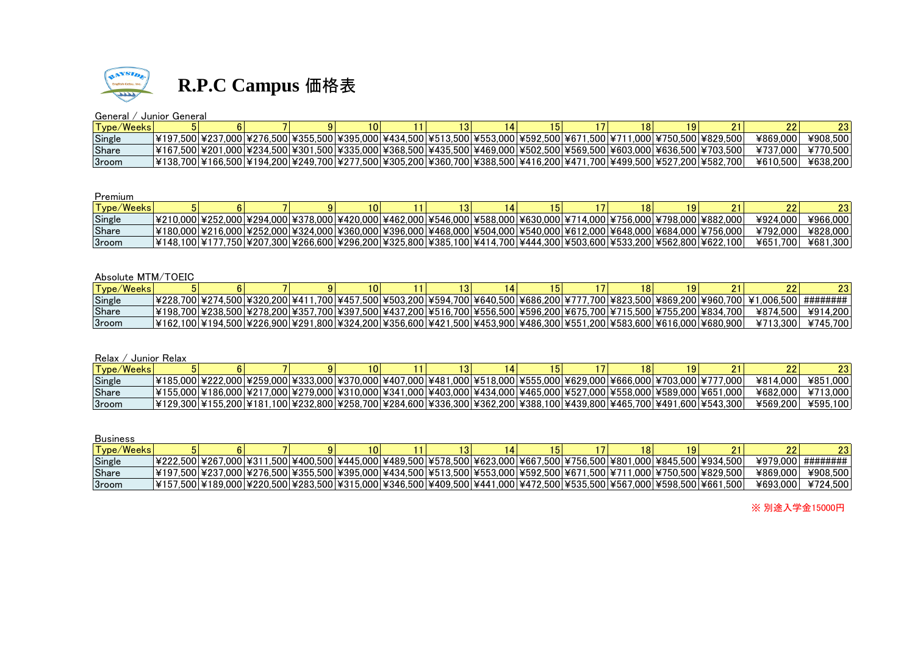

### General / Junior General

| Tvpe/Weeks   |                                                                                        |  |                                                                                   |  |  | 18 |                                                                                                                        | --       |          |
|--------------|----------------------------------------------------------------------------------------|--|-----------------------------------------------------------------------------------|--|--|----|------------------------------------------------------------------------------------------------------------------------|----------|----------|
| Single       |                                                                                        |  | 7.000 ¥276.500 ¥355.500 ¥395.000 ¥434.500 ¥513.500 ¥553.000 ¥592.500 ¥671.500 ¥71 |  |  |    | 11.0001¥750.5001¥829.5001                                                                                              | 4869.000 | ¥908.500 |
| Share        |                                                                                        |  |                                                                                   |  |  |    | l¥167.500l¥201.000l¥234.500l¥301.500l¥335.000l¥368.500l¥435.500l¥469.000l¥502.500l¥569.500l¥603.000l¥636.500l¥703.500l | ¥737.000 | ¥770.500 |
| <b>Sroom</b> | I¥138.700I¥166.500I¥194.200I¥249.700I¥277.500I¥305.200I¥360.700I¥388.500I¥416.200I¥471 |  |                                                                                   |  |  |    | .700 ¥499.500 ¥527.200 ¥582.700 ا                                                                                      | ¥610.500 | ¥638,200 |

### Premium

| Tvpe/Weeksl |  |  |  |  |                                                                                                                    |  |                                                                                                                               |               | nn       |
|-------------|--|--|--|--|--------------------------------------------------------------------------------------------------------------------|--|-------------------------------------------------------------------------------------------------------------------------------|---------------|----------|
| Single      |  |  |  |  |                                                                                                                    |  | <u> ¥210.000 ¥252.000 ¥294.000 ¥378.000 ¥420.000 ¥462.000 ¥546.000 ¥588.000 ¥630.000 ¥714.000 ¥756.000 ¥798.000 ¥882.000 </u> | ¥924.000      | ¥966.000 |
| Share       |  |  |  |  |                                                                                                                    |  | L¥180.000L¥216.000L¥252.000L¥324.000L¥360.000L¥396.000L¥468.000L¥504.000L¥540.000L¥612.000L¥648.000L¥684.000L¥756.000L        | ¥792.000      | ¥828.000 |
| 3room       |  |  |  |  | ¥148.100 ¥177.750 ¥207.300 ¥266.600 ¥296.200 ¥325.800 ¥385.100 ¥414.700 ¥444.300 ¥503.600 ¥533.200 ¥562.800 ¥622.` |  | 100 <sup>-</sup>                                                                                                              | 465.<br>.7001 | ¥681.300 |

### Absolute MTM/TOEIC

| Tvpe/Weeksl  |  |  |  |  |                                                                                                                        |  |  |                                                                                                                                                     |          |
|--------------|--|--|--|--|------------------------------------------------------------------------------------------------------------------------|--|--|-----------------------------------------------------------------------------------------------------------------------------------------------------|----------|
| Single       |  |  |  |  |                                                                                                                        |  |  | l\228.700l\274.500l\320.200l\411.700l\457.500l\503.200l\594.700l\640.500l\686.200l\777.700l\823.500l\869.200l\960.700l\1960.700l\1.006.500l######## |          |
| Share        |  |  |  |  | L¥198.700L¥238.500L¥278.200L¥357.700L¥397.500L¥437.200L¥516.700L¥556.500L¥596.200L¥675.700L¥715.500L¥755.200L¥834.700L |  |  | ¥874.500                                                                                                                                            | ¥914.200 |
| <b>Sroom</b> |  |  |  |  | l¥162.100l¥194.500l¥226.900l¥291.800l¥324.200l¥356.600l¥421.500l¥453.900l¥486.300l¥551.200l¥583.600l¥616.000l¥680.900l |  |  | ¥713.300                                                                                                                                            | ¥745.700 |

### Relax / Junior Relax

| Tvpe/Weeks   |  |  |                                                                                                                    |  |  |  |                                                                                                                        |          |                   |
|--------------|--|--|--------------------------------------------------------------------------------------------------------------------|--|--|--|------------------------------------------------------------------------------------------------------------------------|----------|-------------------|
| Single       |  |  | l¥185.000l¥222.000l¥259.000l¥333.000l¥370.000l¥407.000l¥481.000l¥518.000l¥555.000l¥629.000l¥666.000l¥703.000l¥77   |  |  |  | '7.0001                                                                                                                | ¥814.000 | ¥851.000          |
| <b>Share</b> |  |  | l¥155.000l¥186.000l¥217.000l¥279.000l¥310.000l¥341.000l¥403.000l¥434.000l¥465.000l¥527.000l¥558.000l¥589.000l¥651. |  |  |  | .000 <sub>1</sub>                                                                                                      |          | ¥682,000 ¥713,000 |
| 3room        |  |  |                                                                                                                    |  |  |  | l¥129.300l¥155.200l¥181.100l¥232.800l¥258.700l¥284.600l¥336.300l¥362.200l¥388.100l¥439.800l¥465.700l¥491.600l¥543.300l | ¥569.200 | ¥595.100          |

| <b>Business</b> |                                                                                                                       |  |          |  |  |  |  |          |          |
|-----------------|-----------------------------------------------------------------------------------------------------------------------|--|----------|--|--|--|--|----------|----------|
| Type/Weeks      |                                                                                                                       |  | <b>O</b> |  |  |  |  | იი<br>▵  | 23       |
| Single          | ¥222.500 ¥267.000 ¥311.500 ¥400.500 ¥445.000 ¥489.500 ¥578.500 ¥623.000 ¥667.500 ¥756.500 ¥801.000 ¥845.500 ¥934.500  |  |          |  |  |  |  | ¥979.000 | ######## |
| Share           | 1¥197.5001¥237.0001¥276.5001¥355.5001¥395.0001¥434.5001¥513.5001¥553.0001¥592.5001¥671.5001¥711.0001¥750.5001¥829.500 |  |          |  |  |  |  | ¥869.000 | ¥908.500 |
| 3room           | 1¥157.5001¥189.0001¥220.5001¥283.5001¥315.0001¥346.5001¥409.5001¥441.0001¥472.5001¥535.5001¥567.0001¥598.5001¥661.500 |  |          |  |  |  |  | ¥693,000 | ¥724.500 |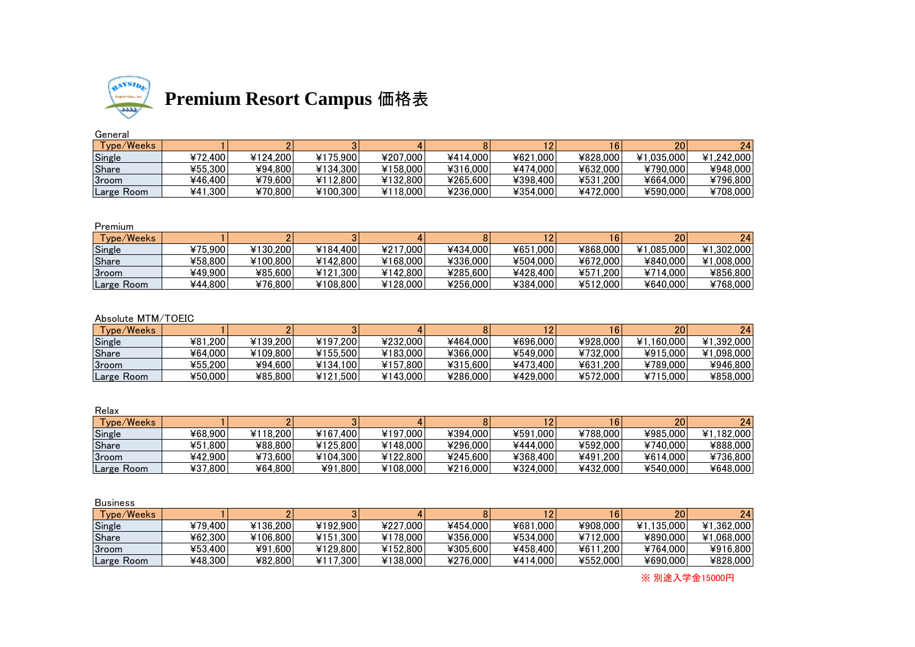

# **Premium Resort Campus** 価格表

# General

| - - - . - . |                  |          |          |          |          |          |          |            |            |
|-------------|------------------|----------|----------|----------|----------|----------|----------|------------|------------|
| Tvpe/Weeks  |                  |          |          |          |          |          |          | 20         | 24         |
| Single      | ¥72.400          | ¥124.200 | ¥175.900 | ¥207.000 | ¥414.000 | ¥621.000 | ¥828,000 | ¥1.035.000 | ¥1.242.000 |
| Share       | ¥55.300          | ¥94.800  | ¥134.300 | ¥158,000 | ¥316,000 | ¥474.000 | ¥632,000 | ¥790.000   | ¥948,000   |
| 3room       | ¥46.400          | ¥79.600  | ¥112.800 | ¥132,800 | ¥265.600 | ¥398.400 | ¥531.200 | ¥664.000   | ¥796.800   |
| Large Room  | ۔ 300. ،<br>¥41. | ¥70.800  | ¥100.300 | ¥118,000 | ¥236,000 | ¥354,000 | ¥472,000 | ¥590,000   | ¥708,000   |

### Premium

| $\tau_{\texttt{vpe}/\texttt{Weeks}}$ |         |           |          |          |          |          |               | 20         | 24         |
|--------------------------------------|---------|-----------|----------|----------|----------|----------|---------------|------------|------------|
| Single                               | ¥75.900 | ¥130.2001 | ¥184.400 | ¥217.000 | ¥434,000 | ¥651.000 | ¥868.000      | ¥1.085.000 | ¥1.302.000 |
| Share                                | ¥58.800 | ¥100.800  | ¥142.800 | ¥168.000 | ¥336,000 | ¥504.000 | ¥672,000      | ¥840,000   | ¥1.008.000 |
| 3room                                | ¥49.900 | ¥85.600   | ¥121.300 | ¥142.800 | ¥285.600 | ¥428.400 | .200<br>¥571. | ¥714.000   | ¥856.800   |
| Large Room                           | ¥44.800 | ¥76.800   | ¥108.800 | ¥128.000 | ¥256,000 | ¥384,000 | ¥512,000      | ¥640.000   | ¥768,000   |

## Absolute MTM/TOEIC

| Type/Weeks |         |           |          |          |          |          |          | 20         | 24         |
|------------|---------|-----------|----------|----------|----------|----------|----------|------------|------------|
| Single     | ¥81.200 | ¥139.2001 | ¥197.200 | ¥232.000 | ¥464.000 | ¥696.000 | ¥928.000 | ¥1.160.000 | ¥1.392.000 |
| Share      | 464,000 | ¥109.800  | ¥155.500 | ¥183.000 | ¥366.000 | ¥549.000 | ¥732.000 | ¥915,000   | ¥1.098.000 |
| 3room      | ¥55,200 | ¥94.600   | ¥134.100 | ¥157.800 | ¥315,600 | ¥473.400 | ¥631,200 | ¥789.000   | ¥946.800   |
| Large Room | ¥50.000 | ¥85,800   | ¥121.500 | ¥143.000 | ¥286,000 | ¥429.000 | ¥572.000 | ¥715.000   | ¥858,000   |

| Relax      |         |          |          |          |          |          |          |          |            |
|------------|---------|----------|----------|----------|----------|----------|----------|----------|------------|
| Type/Weeks |         |          |          |          |          |          | 6        | 20       | 24         |
| Single     | ¥68.900 | ¥118.200 | ¥167.400 | ¥197.000 | ¥394.000 | ¥591.000 | ¥788.000 | ¥985.000 | ¥1.182.000 |
| Share      | ¥51.800 | ¥88,800  | ¥125,800 | ¥148,000 | ¥296,000 | ¥444.000 | ¥592,000 | ¥740,000 | ¥888,000   |
| 3room      | ¥42.900 | ¥73.600  | ¥104.300 | ¥122,800 | ¥245,600 | ¥368.400 | ¥491.200 | ¥614.000 | ¥736,800   |
| Large Room | ¥37.800 | ¥64.800  | ¥91.800  | ¥108,000 | ¥216,000 | ¥324.000 | ¥432,000 | ¥540,000 | ¥648,000   |

| <b>Business</b>        |         |          |          |          |          |          |          |            |            |
|------------------------|---------|----------|----------|----------|----------|----------|----------|------------|------------|
| vpe/Weeks <sup>-</sup> |         |          |          |          |          |          |          | 20         | 24         |
| Single                 | ¥79.400 | ¥136.200 | ¥192.900 | ¥227,000 | ¥454,000 | ¥681,000 | ¥908,000 | ¥1.135.000 | ¥1.362.000 |
| <b>Share</b>           | ¥62.300 | ¥106.800 | ¥151.300 | ¥178.000 | ¥356,000 | ¥534,000 | ¥712,000 | ¥890,000   | ¥1.068.000 |
| 3room                  | ¥53.400 | ¥91,600  | ¥129,800 | ¥152.800 | ¥305,600 | ¥458.400 | ¥611.200 | ¥764.000   | ¥916,800   |
| Large Room             | ¥48,300 | ¥82,800  | ¥117.300 | ¥138,000 | ¥276,000 | ¥414.000 | ¥552,000 | ¥690,000   | ¥828,000   |